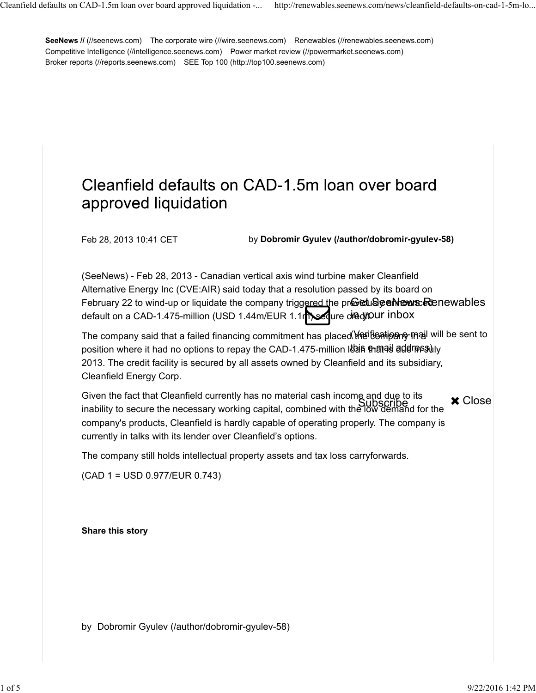**SeeNews // (//seenews.com)** The corporate wire (//wire.seenews.com) Renewables (//renewables.seenews.com) Competitive Intelligence (//intelligence.seenews.com) Power market review (//powermarket.seenews.com) Broker reports (//reports.seenews.com) SEE Top 100 (http://top100.seenews.com)

## Cleanfield defaults on CAD-1.5m loan over board approved liquidation

Feb 28, 2013 10:41 CET by **Dobromir Gyulev (/author/dobromir-gyulev-58)**

(SeeNews) - Feb 28, 2013 - Canadian vertical axis wind turbine maker Cleanfield Alternative Energy Inc (CVE:AIR) said today that a resolution passed by its board on February 22 to wind-up or liquidate the company triggered the preictuseen heurs Renewables default on a CAD-1.475-million (USD 1.44m/EUR 1.1msequre creditour inbox

The company said that a failed financing commitment has placed <del>Wp</del>tit̃ieatipan<del>cy</del> mail will be sent to position where it had no options to repay the CAD-1.475-million loan that is due in July this e-mail address) 2013. The credit facility is secured by all assets owned by Cleanfield and its subsidiary, Cleanfield Energy Corp.

Given the fact that Cleanfield currently has no material cash income and due to its inability to secure the necessary working capital, combined with the low demand for the Subscribe company's products, Cleanfield is hardly capable of operating properly. The company is currently in talks with its lender over Cleanfield's options. **x** Close

The company still holds intellectual property assets and tax loss carryforwards.

(CAD 1 = USD 0.977/EUR 0.743)

**Share this story** 

by Dobromir Gyulev (/author/dobromir-gyulev-58)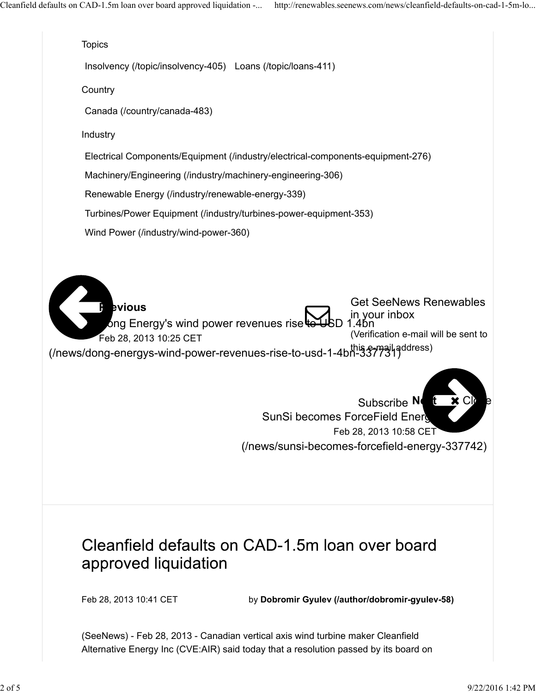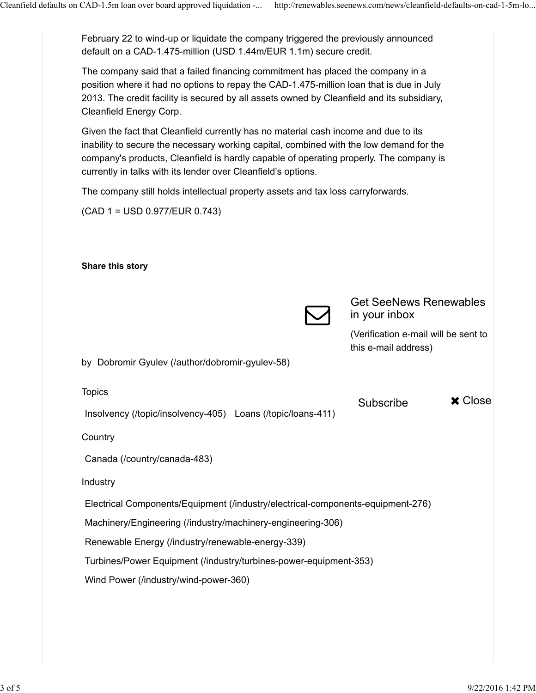February 22 to wind-up or liquidate the company triggered the previously announced default on a CAD-1.475-million (USD 1.44m/EUR 1.1m) secure credit.

The company said that a failed financing commitment has placed the company in a position where it had no options to repay the CAD-1.475-million loan that is due in July 2013. The credit facility is secured by all assets owned by Cleanfield and its subsidiary, Cleanfield Energy Corp.

Given the fact that Cleanfield currently has no material cash income and due to its inability to secure the necessary working capital, combined with the low demand for the company's products, Cleanfield is hardly capable of operating properly. The company is currently in talks with its lender over Cleanfield's options.

The company still holds intellectual property assets and tax loss carryforwards.

(CAD 1 = USD 0.977/EUR 0.743)

| Share this story                                                                |                                                              |
|---------------------------------------------------------------------------------|--------------------------------------------------------------|
|                                                                                 | <b>Get SeeNews Renewables</b><br>in your inbox               |
|                                                                                 | (Verification e-mail will be sent to<br>this e-mail address) |
| by Dobromir Gyulev (/author/dobromir-gyulev-58)                                 |                                                              |
| <b>Topics</b>                                                                   |                                                              |
| Insolvency (/topic/insolvency-405) Loans (/topic/loans-411)                     | <b>x</b> Close<br>Subscribe                                  |
| Country                                                                         |                                                              |
| Canada (/country/canada-483)                                                    |                                                              |
| Industry                                                                        |                                                              |
| Electrical Components/Equipment (/industry/electrical-components-equipment-276) |                                                              |
| Machinery/Engineering (/industry/machinery-engineering-306)                     |                                                              |
| Renewable Energy (/industry/renewable-energy-339)                               |                                                              |
| Turbines/Power Equipment (/industry/turbines-power-equipment-353)               |                                                              |
| Wind Power (/industry/wind-power-360)                                           |                                                              |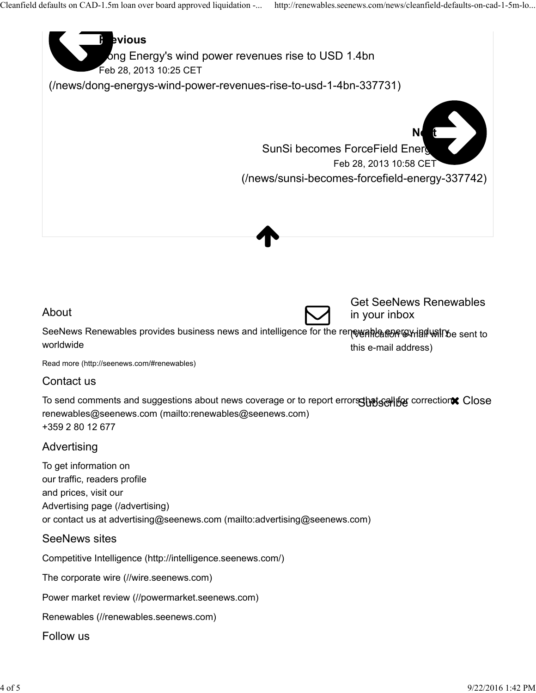

Renewables (//renewables.seenews.com)

Follow us